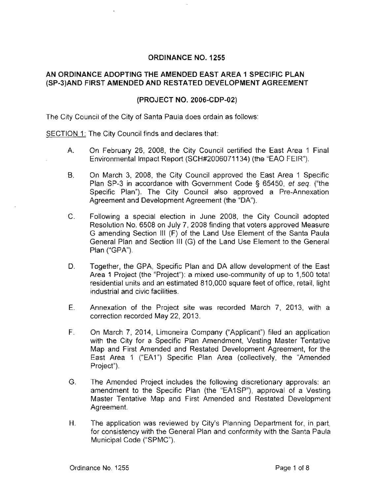# ORDINANCE NO. 1255

# AN ORDINANCE ADOPTING THE AMENDED EAST AREA 1 SPECIFIC PLAN (SP-3)AND FIRST AMENDED AND RESTATED DEVELOPMENT AGREEMENT

### (PROJECT NO. 2006-CDP-02)

The City Council of the City of Santa Paula does ordain as follows:

SECTION 1: The City Council finds and declares that:

- A. On February 26, 2008, the City Council certified the East Area 1 Final Environmental Impact Report (SCH#2006071134) (the "EAO FEIR'').
- B. On March 3, 2008, the City Council approved the East Area 1 Specific Plan SP-3 in accordance with Government Code § 65450, et seq. ("the Specific Plan"). The City Council also approved a Pre-Annexation Agreement and Development Agreement (the "DA").
- C. Following a special election in June 2008, the City Council adopted Resolution No. 6508 on July 7, 2008 finding that voters approved Measure G amending Section Ill (F) of the Land Use Element of the Santa Paula General Plan and Section Ill (G) of the Land Use Element to the General Plan ("GPA").
- D. Together, the GPA, Specific Plan and DA allow development of the East Area 1 Project (the "Project"): a mixed use-community of up to 1,500 total residential units and an estimated 810,000 square feet of office, retail, light industrial and civic facilities.
- E. Annexation of the Project site was recorded March 7, 2013, with a correction recorded May 22, 2013.
- F. On March 7, 2014, Limoneira Company ("Applicant") filed an application with the City for a Specific Plan Amendment, Vesting Master Tentative Map and First Amended and Restated Development Agreement, for the East Area 1 ("EA1") Specific Plan Area (collectively, the "Amended Project").
- G. The Amended Project includes the following discretionary approvals: an amendment to the Specific Plan (the "EA1SP"), approval of a Vesting Master Tentative Map and First Amended and Restated Development Agreement.
- H. The application was reviewed by City's Planning Department for, in part, for consistency with the General Plan and conformity with the Santa Paula Municipal Code ("SPMC").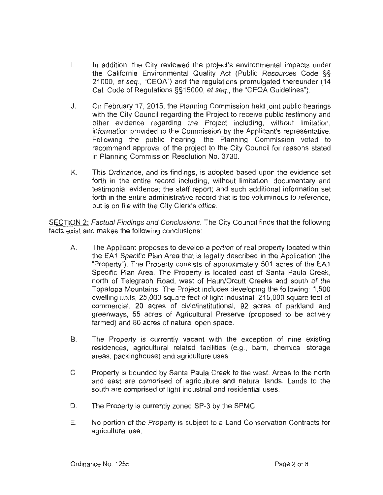- I. In addition, the City reviewed the project's environmental impacts under the California Environmental Quality Act (Public Resources Code §§ 21000, et seq., "CEQA") and the regulations promulgated thereunder (14 Cal. Code of Regulations §§15000, et seq., the "CEQA Guidelines").
- J. On February 17, 2015, the Planning Commission held joint public hearings with the City Council regarding the Project to receive public testimony and other evidence regarding the Project including, without limitation, information provided to the Commission by the Applicant's representative. Following the public hearing, the Planning Commission voted to recommend approval of the project to the City Council for reasons stated in Planning Commission Resolution No. 3730.
- K. This Ordinance. and its findings, is adopted based upon the evidence set forth in the entire record including, without limitation, documentary and testimonial evidence; the staff report; and such additional information set forth in the entire administrative record that is too voluminous to reference, but is on file with the City Clerk's office.

SECTION 2: Factual Findings and Conclusions. The City Council finds that the following facts exist and makes the following conclusions:

- A. The Applicant proposes to develop a portion of real property located within the EA1 Specific Plan Area that is legally described in the Application (the "Property"). The Property consists of approximately 501 acres of the EA 1 Specific Plan Area. The Property is located east of Santa Paula Creek, north of Telegraph Road, west of Haun/Orcutt Creeks and south of the Topatopa Mountains. The Project includes developing the following: 1,500 dwelling units, 25,000 square feet of light industrial, 215,000 square feet of commercial, 20 acres of civic/institutional, 92 acres of parkland and greenways, 55 acres of Agricultural Preserve (proposed to be actively farmed) and 80 acres of natural open space.
- B. The Property is currently vacant with the exception of nine existing residences, agricultural related facilities (e.g., barn, chemical storage areas, packinghouse) and agriculture uses.
- C. Property is bounded by Santa Paula Creek to the west. Areas to the north and east are comprised of agriculture and natural lands. Lands to the south are comprised of light industrial and residential uses.
- D. The Property is currently zoned SP-3 by the SPMC.
- E. No portion of the Property is subject to a Land Conservation Contracts for agricultural use.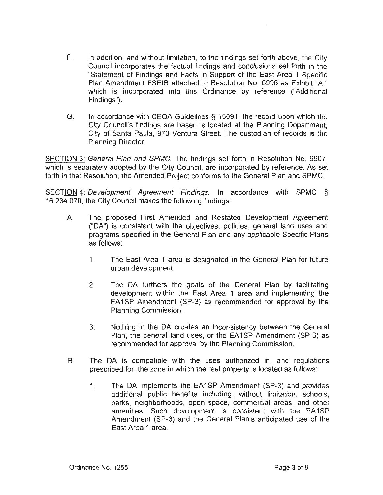- F. In addition, and without limitation, to the findings set forth above, the City Council incorporates the factual findings and conclusions set forth in the "Statement of Findings and Facts in Support of the East Area 1 Specific Plan Amendment FSEIR attached to Resolution No. 6906 as Exhibit "A," which is incorporated into this Ordinance by reference ("Additional Findings").
- G. In accordance with CEQA Guidelines § 15091 , the record upon which the City Council's findings are based is located at the Planning Department, City of Santa Paula, 970 Ventura Street. The custodian of records is the Planning Director.

SECTION 3: General Plan and SPMC. The findings set forth in Resolution No. 6907, which is separately adopted by the City Council, are incorporated by reference. As set forth in that Resolution, the Amended Project conforms to the General Plan and SPMC.

SECTION 4: Development Agreement Findings. In accordance with SPMC § 16.234.070, the City Council makes the following findings:

- A. The proposed First Amended and Restated Development Agreement ("DA") is consistent with the objectives, policies, general land uses and programs specified in the General Plan and any applicable Specific Plans as follows:
	- 1. The East Area 1 area is designated in the General Plan for future urban development.
	- 2. The DA furthers the goals of the General Plan by facilitating development within the East Area 1 area and implementing the EA1SP Amendment (SP-3) as recommended for approval by the Planning Commission.
	- 3. Nothing in the DA creates an inconsistency between the General Plan, the general land uses, or the EA1SP Amendment (SP-3) as recommended for approval by the Planning Commission.
- B. The DA is compatible with the uses authorized in, and regulations prescribed for, the zone in which the real property is located as follows:
	- 1. The DA implements the EA1SP Amendment (SP-3) and provides additional public benefits including, without limitation, schools, parks, neighborhoods, open space, commercial areas, and other amenities. Such development is consistent with the EA1SP Amendment (SP-3) and the General Plan's anticipated use of the East Area 1 area.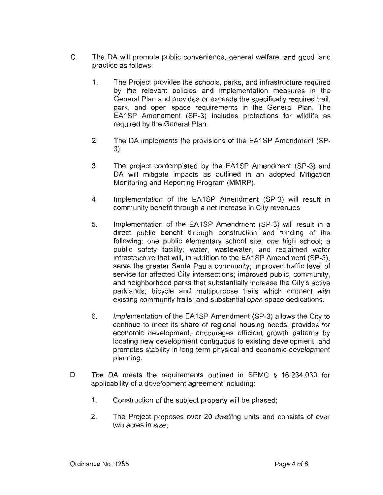- C. The DA will promote public convenience, general welfare, and good land practice as follows:
	- 1. The Project provides the schools, parks, and infrastructure required by the relevant policies and implementation measures in the General Plan and provides or exceeds the specifically required trail, park, and open space requirements in the General Plan. The EA1SP Amendment (SP-3) includes protections for wildlife as required by the General Plan.
	- 2. The DA implements the provisions of the EA1SP Amendment (SP-3).
	- 3. The project contemplated by the EA1SP Amendment (SP-3) and DA will mitigate impacts as outlined in an adopted Mitigation Monitoring and Reporting Program (MMRP).
	- 4. Implementation of the EA1SP Amendment (SP-3) will result in community benefit through a net increase in City revenues.
	- 5. Implementation of the EA1SP Amendment (SP-3) will result in a direct public benefit through construction and funding of the following: one public elementary school site; one high school; a public safety facility; water, wastewater, and reclaimed water infrastructure that will, in addition to the EA1SP Amendment (SP-3), serve the greater Santa Paula community; improved traffic level of service for affected City intersections; improved public, community, and neighborhood parks that substantially increase the City's active parklands; bicycle and multipurpose trails which connect with existing community trails; and substantial open space dedications.
	- 6. Implementation of the EA1SP Amendment (SP-3) allows the City to continue to meet its share of regional housing needs, provides for economic development, encourages efficient growth patterns by locating new development contiguous to existing development, and promotes stability in long term physical and economic development planning.
- D. The DA meets the requirements outlined in SPMC § 16.234.030 for applicability of a development agreement including:
	- 1. Construction of the subject property will be phased;
	- 2. The Project proposes over 20 dwelling units and consists of over two acres in size;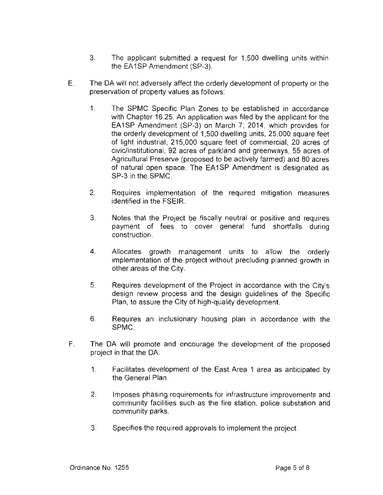- 3. The applicant submitted a request for 1,500 dwelling units within the EA1SP Amendment (SP-3).
- E. The DA will not adversely affect the orderly development of property or the preservation of property values as follows:
	- 1. The SPMC Specific Plan Zones to be established in accordance with Chapter 16.25. An application was filed by the applicant for the EA1SP Amendment (SP-3) on March 7, 2014, which provides for the orderly development of 1,500 dwelling units, 25,000 square feet of light industrial, 215,000 square feet of commercial, 20 acres of civic/institutional, 92 acres of parkland and greenways, 55 acres of Agricultural Preserve (proposed to be actively farmed) and 80 acres of natural open space. The EA1SP Amendment is designated as SP-3 in the SPMC.
	- 2. Requires implementation of the required mitigation measures identified in the FSEIR.
	- 3. Notes that the Project be fiscally neutral or positive and requires payment of fees to cover general fund shortfalls during construction.
	- 4. Allocates growth management units to allow the orderly implementation of the project without precluding planned growth in other areas of the City.
	- 5. Requires development of the Project in accordance with the City's design review process and the design guidelines of the Specific Plan, to assure the City of high-quality development.
	- 6. Requires an inclusionary housing plan in accordance with the SPMC.
- F. The DA will promote and encourage the development of the proposed project in that the DA:
	- 1. Facilitates development of the East Area 1 area as anticipated by the General Plan.
	- 2. Imposes phasing requirements for infrastructure improvements and community facilities such as the fire station, police substation· and community parks.
	- 3. Specifies the required approvals to implement the project.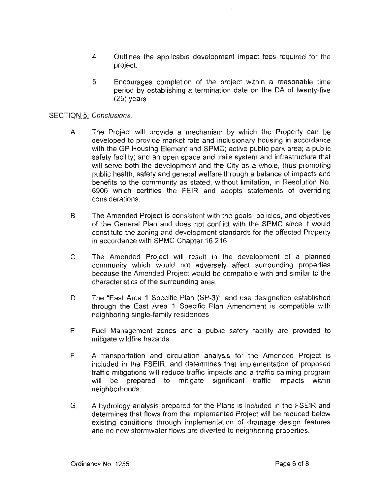- 4. Outlines the applicable development impact fees required for the project.
- 5. Encourages completion of the project within a reasonable time period by establishing a termination date on the DA of twenty-five (25) years.

#### SECTION 5: Conclusions.

- A. The Project will provide a mechanism by which the Property can be developed to provide market rate and inclusionary housing in accordance with the GP Housing Element and SPMC; active public park area; a public safety facility; and an open space and trails system and infrastructure that will serve both the development and the City as a whole, thus promoting public health, safety and general welfare through a balance of impacts and benefits to the community as stated, without limitation, in Resolution No. 6906 which certifies the FEIR and adopts statements of overriding considerations.
- B. The Amended Project is consistent with the goals, policies, and objectives of the General Plan and does not conflict with the SPMC since it would constitute the zoning and development standards for the affected Property in accordance with SPMC Chapter 16.216.
- C. The Amended Project will result in the development of a planned community which would not adversely affect surrounding properties because the Amended Project would be compatible with and similar to the characteristics of the surrounding area.
- D. The "East Area 1 Specific Plan (SP-3)" land use designation established through the East Area 1 Specific Plan Amendment is compatible with neighboring single-family residences.
- E. Fuel Management zones and a public safety facility are provided to mitigate wildfire hazards.
- F. A transportation and circulation analysis for the Amended Project is included in the FSEIR, and determines that implementation of proposed traffic mitigations will reduce traffic impacts and a traffic-calming program will be prepared to mitigate significant traffic impacts within neighborhoods.
- G. A hydrology analysis prepared for the Plans is included in the FSEIR and determines that flows from the implemented Project will be reduced below existing conditions through implementation of drainage design features and no new stormwater flows are diverted to neighboring properties.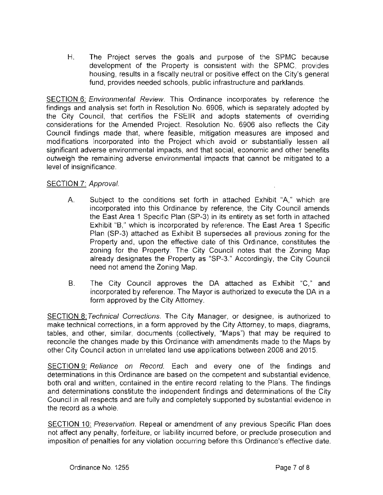H. The Project serves the goals and purpose of the SPMC because development of the Property is consistent with the SPMC, provides housing, results in a fiscally neutral or positive effect on the City's general fund, provides needed schools, public infrastructure and parklands.

**SECTION 6:** Environmental Review. This Ordinance incorporates by reference the findings and analysis set forth in Resolution No. 6906, which is separately adopted by the City Council, that certifies the FSEIR and adopts statements of overriding considerations for the Amended Project. Resolution No. 6906 also reflects the City Council findings made that, where feasible, mitigation measures are imposed and modifications incorporated into the Project which avoid or substantially lessen all significant adverse environmental impacts, and that social, economic and other benefits outweigh the remaining adverse environmental impacts that cannot be mitigated to a level of insignificance.

# SECTION 7: Approval.

- A. Subject to the conditions set forth in attached Exhibit "A," which are incorporated into this Ordinance by reference, the City Council amends the East Area 1 Specific Plan (SP-3) in its entirety as set forth in attached Exhibit "B," which is incorporated by reference. The East Area 1 Specific Plan (SP-3) attached as Exhibit B supersedes all previous zoning for the Property and, upon the effective date of this Ordinance, constitutes the zoning for the Property. The City Council notes that the Zoning Map already designates the Property as "SP-3." Accordingly, the City Council need not amend the Zoning Map.
- 8. The City Council approves the DA attached as Exhibit "C," and incorporated by reference. The Mayor is authorized to execute the DA in a form approved by the City Attorney.

SECTION 8: Technical Corrections. The City Manager, or designee, is authorized to make technical corrections, in a form approved by the City Attorney, to maps, diagrams, tables, and other, similar, documents (collectively, "Maps") that may be required to reconcile the changes made by this Ordinance with amendments made to the Maps by other City Council action in unrelated land use applications between 2008 and 2015.

SECTION 9: Reliance on Record. Each and every one of the findings and determinations in this Ordinance are based on the competent and substantial evidence, both oral and written, contained in the entire record relating to the Plans. The findings and determinations constitute the independent findings and determinations of the City Council in all respects and are fully and completely supported by substantial evidence in the record as a whole.

SECTION 10: Preservation. Repeal or amendment of any previous Specific Plan does not affect any penalty, forfeiture, or liability incurred before, or preclude prosecution and imposition of penalties for any violation occurring before this Ordinance's effective date.